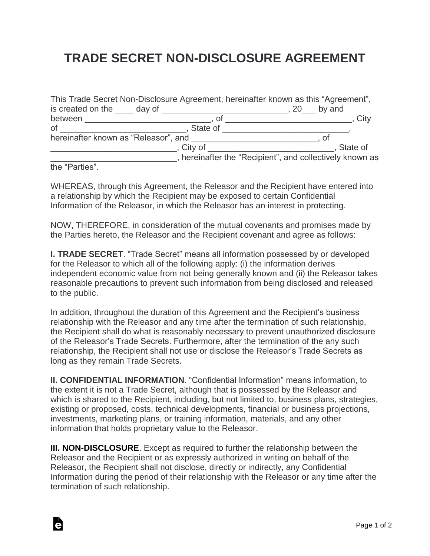## **TRADE SECRET NON-DISCLOSURE AGREEMENT**

| This Trade Secret Non-Disclosure Agreement, hereinafter known as this "Agreement",                                                                                                                                             |            |                                                        |      |
|--------------------------------------------------------------------------------------------------------------------------------------------------------------------------------------------------------------------------------|------------|--------------------------------------------------------|------|
| is created on the day of day of the state of the state of the state of the state of the state of the state of the state of the state of the state of the state of the state of the state of the state of the state of the stat |            | $, 20$ by and                                          |      |
| between _______________                                                                                                                                                                                                        | Οt         |                                                        | City |
| <b>of</b>                                                                                                                                                                                                                      | . State of |                                                        |      |
| hereinafter known as "Releasor", and                                                                                                                                                                                           |            | . ot                                                   |      |
|                                                                                                                                                                                                                                | City of    | State of                                               |      |
|                                                                                                                                                                                                                                |            | hereinafter the "Recipient", and collectively known as |      |
| tho "Dortion"                                                                                                                                                                                                                  |            |                                                        |      |

the "Parties".

Ġ

WHEREAS, through this Agreement, the Releasor and the Recipient have entered into a relationship by which the Recipient may be exposed to certain Confidential Information of the Releasor, in which the Releasor has an interest in protecting.

NOW, THEREFORE, in consideration of the mutual covenants and promises made by the Parties hereto, the Releasor and the Recipient covenant and agree as follows:

**I. TRADE SECRET**. "Trade Secret" means all information possessed by or developed for the Releasor to which all of the following apply: (i) the information derives independent economic value from not being generally known and (ii) the Releasor takes reasonable precautions to prevent such information from being disclosed and released to the public.

In addition, throughout the duration of this Agreement and the Recipient's business relationship with the Releasor and any time after the termination of such relationship, the Recipient shall do what is reasonably necessary to prevent unauthorized disclosure of the Releasor's Trade Secrets. Furthermore, after the termination of the any such relationship, the Recipient shall not use or disclose the Releasor's Trade Secrets as long as they remain Trade Secrets.

**II. CONFIDENTIAL INFORMATION**. "Confidential Information" means information, to the extent it is not a Trade Secret, although that is possessed by the Releasor and which is shared to the Recipient, including, but not limited to, business plans, strategies, existing or proposed, costs, technical developments, financial or business projections, investments, marketing plans, or training information, materials, and any other information that holds proprietary value to the Releasor.

**III. NON-DISCLOSURE.** Except as required to further the relationship between the Releasor and the Recipient or as expressly authorized in writing on behalf of the Releasor, the Recipient shall not disclose, directly or indirectly, any Confidential Information during the period of their relationship with the Releasor or any time after the termination of such relationship.